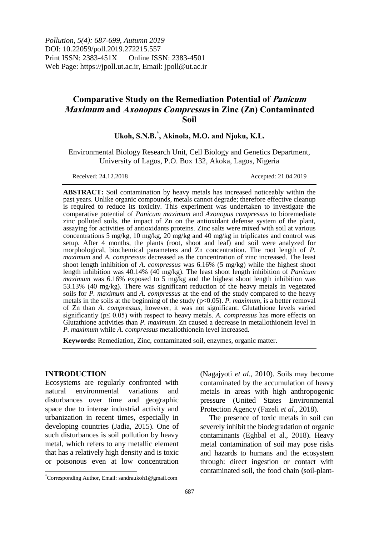*Pollution, 5(4): 687-699, Autumn 2019* DOI: 10.22059/poll.2019.272215.557 Print ISSN: 2383-451X Online ISSN: 2383-4501 Web Page: https://jpoll.ut.ac.ir, Email: jpoll@ut.ac.ir

# **Comparative Study on the Remediation Potential of Panicum Maximum and Axonopus Compressus in Zinc (Zn) Contaminated Soil**

## **Ukoh, S.N.B. \* , Akinola, M.O. and Njoku, K.L.**

Environmental Biology Research Unit, Cell Biology and Genetics Department, University of Lagos, P.O. Box 132, Akoka, Lagos, Nigeria

Received: 24.12.2018 Accepted: 21.04.2019

**ABSTRACT:** Soil contamination by heavy metals has increased noticeably within the past years. Unlike organic compounds, metals cannot degrade; therefore effective cleanup is required to reduce its toxicity. This experiment was undertaken to investigate the comparative potential of *Panicum maximum* and *Axonopus compressus* to bioremediate zinc polluted soils, the impact of Zn on the antioxidant defense system of the plant, assaying for activities of antioxidants proteins. Zinc salts were mixed with soil at various concentrations 5 mg/kg, 10 mg/kg, 20 mg/kg and 40 mg/kg in triplicates and control was setup. After 4 months, the plants (root, shoot and leaf) and soil were analyzed for morphological, biochemical parameters and Zn concentration. The root length of *P. maximum* and *A. compressus* decreased as the concentration of zinc increased. The least shoot length inhibition of *A. compressus* was 6.16% (5 mg/kg) while the highest shoot length inhibition was 40.14% (40 mg/kg). The least shoot length inhibition of *Panicum maximum* was 6.16% exposed to 5 mg/kg and the highest shoot length inhibition was 53.13% (40 mg/kg). There was significant reduction of the heavy metals in vegetated soils for *P. maximum* and *A. compressus* at the end of the study compared to the heavy metals in the soils at the beginning of the study ( $p<0.05$ ). *P. maximum*, is a better removal of Zn than *A. compressus*, however, it was not significant. Glutathione levels varied significantly (p≤ 0.05) with respect to heavy metals. *A. compressus* has more effects on Glutathione activities than *P. maximum*. Zn caused a decrease in metallothionein level in *P. maximum* while *A. compressus* metallothionein level increased.

**Keywords:** Remediation, Zinc, contaminated soil, enzymes, organic matter.

### **INTRODUCTION**

 $\overline{\phantom{a}}$ 

Ecosystems are regularly confronted with natural environmental variations and disturbances over time and geographic space due to intense industrial activity and urbanization in recent times, especially in developing countries (Jadia, 2015). One of such disturbances is soil pollution by heavy metal, which refers to any metallic element that has a relatively high density and is toxic or poisonous even at low concentration

metals in areas with high anthropogenic pressure (United States Environmental Protection Agency (Fazeli *et al.,* 2018). The presence of toxic metals in soil can

(Nagajyoti *et al*., 2010). Soils may become contaminated by the accumulation of heavy

severely inhibit the biodegradation of organic contaminants (Eghbal et al., 2018). Heavy metal contamination of soil may pose risks and hazards to humans and the ecosystem through: direct ingestion or contact with contaminated soil, the food chain (soil-plant-

<sup>\*</sup>Corresponding Author, Email: sandraukoh1@gmail.com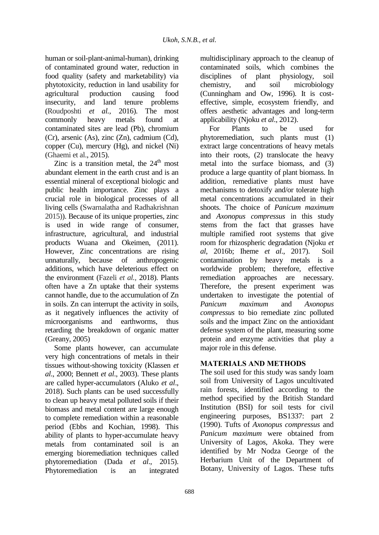human or soil-plant-animal-human), drinking of contaminated ground water, reduction in food quality (safety and marketability) via phytotoxicity, reduction in land usability for agricultural production causing food insecurity, and land tenure problems<br>(Roudposhti et al., 2016). The most (Roudposhti *et al.*, 2016). commonly heavy metals found at contaminated sites are lead (Pb), chromium (Cr), arsenic (As), zinc (Zn), cadmium (Cd), copper (Cu), mercury (Hg), and nickel (Ni) (Ghaemi et al., 2015).

Zinc is a transition metal, the  $24<sup>th</sup>$  most abundant element in the earth crust and is an essential mineral of exceptional biologic and public health importance. Zinc plays a crucial role in biological processes of all living cells (Swarnalatha and Radhakrishnan 2015)). Because of its unique properties, zinc is used in wide range of consumer, infrastructure, agricultural, and industrial products Wuana and Okeimen, (2011). However, Zinc concentrations are rising unnaturally, because of anthropogenic additions, which have deleterious effect on the environment (Fazeli *et al.,* 2018). Plants often have a Zn uptake that their systems cannot handle, due to the accumulation of Zn in soils. Zn can interrupt the activity in soils, as it negatively influences the activity of microorganisms and earthworms, thus retarding the breakdown of organic matter (Greany, 2005)

Some plants however, can accumulate very high concentrations of metals in their tissues without-showing toxicity (Klassen *et al*., 2000; Bennett *et al*., 2003). These plants are called hyper-accumulators (Aluko *et al*., 2018). Such plants can be used successfully to clean up heavy metal polluted soils if their biomass and metal content are large enough to complete remediation within a reasonable period (Ebbs and Kochian, 1998). This ability of plants to hyper-accumulate heavy metals from contaminated soil is an emerging bioremediation techniques called phytoremediation (Dada *et al*., 2015). Phytoremediation is an integrated

multidisciplinary approach to the cleanup of contaminated soils, which combines the disciplines of plant physiology, soil chemistry, and soil microbiology (Cunningham and Ow, 1996). It is costeffective, simple, ecosystem friendly, and offers aesthetic advantages and long-term applicability (Njoku *et al*., 2012).

For Plants to be used for phytoremediation, such plants must (1) extract large concentrations of heavy metals into their roots, (2) translocate the heavy metal into the surface biomass, and (3) produce a large quantity of plant biomass. In addition, remediative plants must have mechanisms to detoxify and/or tolerate high metal concentrations accumulated in their shoots. The choice of *Panicum maximum*  and *Axonopus compressus* in this study stems from the fact that grasses have multiple ramified root systems that give room for rhizospheric degradation (Njoku *et al*, 2016b; Iheme *et al*., 2017). Soil contamination by heavy metals is a worldwide problem; therefore, effective remediation approaches are necessary. Therefore, the present experiment was undertaken to investigate the potential of *Panicum maximum* and *Axonopus compressus* to bio remediate zinc polluted soils and the impact Zinc on the antioxidant defense system of the plant, measuring some protein and enzyme activities that play a major role in this defense.

## **MATERIALS AND METHODS**

The soil used for this study was sandy loam soil from University of Lagos uncultivated rain forests, identified according to the method specified by the British Standard Institution (BSI) for soil tests for civil engineering purposes, BS1337: part 2 (1990). Tufts of *Axonopus compressus* and *Panicum maximum* were obtained from University of Lagos, Akoka. They were identified by Mr Nodza George of the Herbarium Unit of the Department of Botany, University of Lagos. These tufts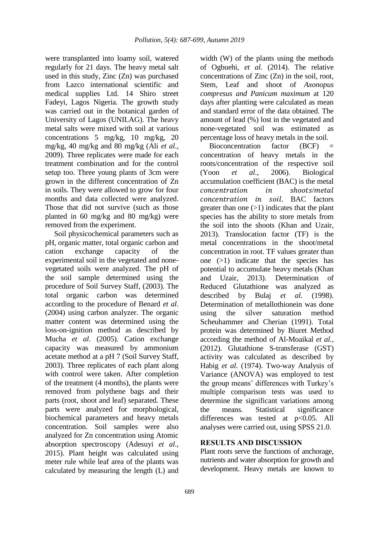were transplanted into loamy soil, watered regularly for 21 days. The heavy metal salt used in this study, Zinc (Zn) was purchased from Lazco international scientific and medical supplies Ltd. 14 Shiro street Fadeyi, Lagos Nigeria. The growth study was carried out in the botanical garden of University of Lagos (UNILAG). The heavy metal salts were mixed with soil at various concentrations 5 mg/kg, 10 mg/kg, 20 mg/kg, 40 mg/kg and 80 mg/kg (Ali *et al*., 2009). Three replicates were made for each treatment combination and for the control setup too. Three young plants of 3cm were grown in the different concentration of Zn in soils. They were allowed to grow for four months and data collected were analyzed. Those that did not survive (such as those planted in 60 mg/kg and 80 mg/kg) were removed from the experiment.

Soil physicochemical parameters such as pH, organic matter, total organic carbon and cation exchange capacity of the experimental soil in the vegetated and nonevegetated soils were analyzed. The pH of the soil sample determined using the procedure of Soil Survey Staff, (2003). The total organic carbon was determined according to the procedure of Benard *et al*. (2004) using carbon analyzer. The organic matter content was determined using the loss-on-ignition method as described by Mucha *et al*. (2005). Cation exchange capacity was measured by ammonium acetate method at a pH 7 (Soil Survey Staff, 2003). Three replicates of each plant along with control were taken. After completion of the treatment (4 months), the plants were removed from polythene bags and their parts (root, shoot and leaf) separated. These parts were analyzed for morphological, biochemical parameters and heavy metals concentration. Soil samples were also analyzed for Zn concentration using Atomic absorption spectroscopy (Adesuyi *et al*., 2015). Plant height was calculated using meter rule while leaf area of the plants was calculated by measuring the length (L) and

689

width (W) of the plants using the methods of Ogbuehi, *et al.* (2014). The relative concentrations of Zinc (Zn) in the soil, root, Stem, Leaf and shoot of *Axonopus compresus and Panicum maximum* at 120 days after planting were calculated as mean and standard error of the data obtained. The amount of lead (%) lost in the vegetated and none-vegetated soil was estimated as percentage loss of heavy metals in the soil.

Bioconcentration factor  $(BCF)$  = concentration of heavy metals in the roots/concentration of the respective soil (Yoon *et al*., 2006). Biological accumulation coefficient (BAC) is the metal concentration in shoots/metal concentration in soil. BAC factors greater than one  $(>1)$  indicates that the plant species has the ability to store metals from the soil into the shoots (Khan and Uzair, 2013). Translocation factor (TF) is the metal concentrations in the shoot/metal concentration in root. TF values greater than one (>1) indicate that the species has potential to accumulate heavy metals (Khan and Uzair, 2013). Determination of Reduced Glutathione was analyzed as described by Bulaj *et al*. (1998). Determination of metallothionein was done using the silver saturation method Scheuhammer and Cherian (1991). Total protein was determined by Biuret Method according the method of Al-Moaikal *et al.,* (2012). Glutathione S-transferase (GST) activity was calculated as described by Habig *et al*. (1974). Two-way Analysis of Variance (ANOVA) was employed to test the group means' differences with Turkey's multiple comparison tests was used to determine the significant variations among the means. Statistical significance differences was tested at p<0.05. All analyses were carried out, using SPSS 21.0.

## **RESULTS AND DISCUSSION**

Plant roots serve the functions of anchorage, nutrients and water absorption for growth and development. Heavy metals are known to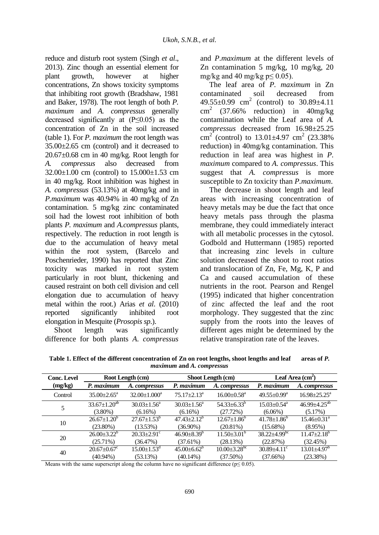reduce and disturb root system (Singh *et al*., 2013). Zinc though an essential element for plant growth, however at higher concentrations, Zn shows toxicity symptoms that inhibiting root growth (Bradshaw, 1981 and Baker, 1978). The root length of both *P. maximum* and *A. compressus* generally decreased significantly at (P≤0.05) as the concentration of Zn in the soil increased (table 1). For *P. maximum* the root length was 35.00±2.65 cm (control) and it decreased to 20.67±0.68 cm in 40 mg/kg. Root length for *A. compressus* also decreased from  $32.00 \pm 1.00$  cm (control) to  $15.000 \pm 1.53$  cm in 40 mg/kg. Root inhibition was highest in *A. compressus* (53.13%) at 40mg/kg and in *P.maximum* was 40.94% in 40 mg/kg of Zn contamination. 5 mg/kg zinc contaminated soil had the lowest root inhibition of both plants *P. maximum* and *A.compressus* plants, respectively. The reduction in root length is due to the accumulation of heavy metal within the root system, (Barcelo and Poschenrieder, 1990) has reported that Zinc toxicity was marked in root system particularly in root blunt, thickening and caused restraint on both cell division and cell elongation due to accumulation of heavy metal within the root.) Arias *et al*. (2010) reported significantly inhibited root elongation in Mesquite (*Prosopis sp*.).

Shoot length was significantly difference for both plants *A. compressus*

(3.80%)

(23.80%)

(25.71%)

(40.94%)

10  $26.67 \pm 1.20^b$ 

20  $26.00 \pm 3.22^b$ 

40  $20.67 \pm 0.67$ <sup>c</sup>

and *P.maximum* at the different levels of Zn contamination 5 mg/kg, 10 mg/kg, 20 mg/kg and 40 mg/kg  $p \le 0.05$ ).

The leaf area of *P. maximum* in Zn contaminated soil decreased from  $49.55\pm0.99$  cm<sup>2</sup> (control) to  $30.89\pm4.11$  $\text{cm}^2$  (37.66% reduction) in 40mg/kg contamination while the Leaf area of *A. compressus* decreased from 16.98±25.25 cm<sup>2</sup> (control) to  $13.01 \pm 4.97$  cm<sup>2</sup> (23.38%) reduction) in 40mg/kg contamination. This reduction in leaf area was highest in *P. maximum* compared to *A. compressus*. This suggest that *A. compressus* is more susceptible to Zn toxicity than *P.maximum*.

The decrease in shoot length and leaf areas with increasing concentration of heavy metals may be due the fact that once heavy metals pass through the plasma membrane, they could immediately interact with all metabolic processes in the cytosol. Godbold and Huttermann (1985) reported that increasing zinc levels in culture solution decreased the shoot to root ratios and translocation of Zn, Fe, Mg, K, P and Ca and caused accumulation of these nutrients in the root. Pearson and Rengel (1995) indicated that higher concentration of zinc affected the leaf and the root morphology. They suggested that the zinc supply from the roots into the leaves of different ages might be determined by the relative transpiration rate of the leaves.

(6.06%)

 $41.78 \pm 1.86^b$ (15.68%)

 $38.22 \pm 4.99$ <sup>bc</sup> (22.87%)

 $30.89 \pm 4.11$ <sup>c</sup> (37.66%)

(5.17%)

 $15.46 \pm 0.31$ <sup>a</sup> (8.95%)

 $11.47 \pm 2.18$ <sup>b</sup> (32.45%)

 $13.01 \pm 4.97$ <sup>t</sup> (23.38%)

|                    |                                  |                                     | <i>Haamani</i> and <i>A</i> . compressus |                               |                                          |                                                     |
|--------------------|----------------------------------|-------------------------------------|------------------------------------------|-------------------------------|------------------------------------------|-----------------------------------------------------|
| <b>Conc. Level</b> | Root Length (cm)                 |                                     | Shoot Length (cm)                        |                               | Leaf Area $(cm2)$                        |                                                     |
| (mg/kg)            | P. maximum                       | A. compressus                       | P. maximum                               | A. compressus                 | P. maximum                               | A. compressus                                       |
| Control            | $35.00 + 2.65^{\circ}$           | $32.00 \pm 1.000^a$                 | $75.17 \pm 2.13^{\text{a}}$              | $16.00 \pm 0.58$ <sup>a</sup> | $49.55 \pm 0.99^{\mathrm{a}}$            | $16.98 \pm 25.25^{\circ}$                           |
|                    | $33.67 \pm 1.20^{ab}$<br>(2.000) | $30.03 \pm 1.56^{\circ}$<br>(6.160) | $30.03 \pm 1.56^{\circ}$<br>(6.160)      | $54.33 + 6.33^b$<br>(27.720)  | $15.03 \pm 0.54$ <sup>a</sup><br>(0.001) | $46.99 \pm 4.25^{ab}$<br>$\sqrt{5}$ 170/ $\sqrt{2}$ |

(6.16%)

 $47.43 \pm 2.12^b$ (36.90%)

 $46.90 \pm 8.39$ <sup>b</sup> (37.61%)

 $45.00\pm6.62$ <sup>b</sup> (40.14%)

(27.72%)

 $12.67{\pm}1.86^b$ (20.81%)

 $11.50\pm3.01^{b}$ (28.13%)

 $10.00\pm3.28^{b}$ (37.50%)

**Table 1. Effect of the different concentration of Zn on root lengths, shoot lengths and leaf areas of** *P. maximum* **and** *A. compressus*

Means with the same superscript along the column have no significant difference ( $p \le 0.05$ ).

(6.16%)

 $27.67 \pm 1.53^b$ (13.53%)

 $20.33 \pm 2.91$ <sup>c</sup> (36.47%)

 $15.00 \pm 1.53$ <sup>d</sup> (53.13%)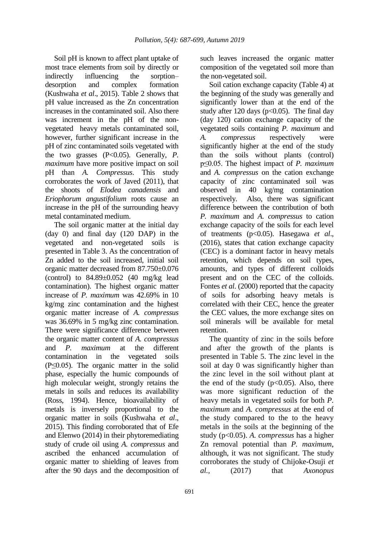Soil pH is known to affect plant uptake of most trace elements from soil by directly or indirectly influencing the sorption– desorption and complex formation (Kushwaha *et al*., 2015). Table 2 shows that pH value increased as the Zn concentration increases in the contaminated soil. Also there was increment in the pH of the nonvegetated heavy metals contaminated soil*,*  however, further significant increase in the pH of zinc contaminated soils vegetated with the two grasses (P<0.05). Generally, *P. maximum* have more positive impact on soil pH than *A. Compressus*. This study corroborates the work of Javed (2011), that the shoots of *Elodea canadensis* and *Eriophorum angustifolium* roots cause an increase in the pH of the surrounding heavy metal contaminated medium.

The soil organic matter at the initial day (day 0) and final day (120 DAP) in the vegetated and non-vegetated soils is presented in Table 3. As the concentration of Zn added to the soil increased, initial soil organic matter decreased from 87.750±0.076 (control) to  $84.89\pm0.052$  (40 mg/kg lead) contamination). The highest organic matter increase of *P. maximum* was 42.69% in 10 kg/mg zinc contamination and the highest organic matter increase of *A. compressus* was 36.69% in 5 mg/kg zinc contamination. There were significance difference between the organic matter content of *A. compressus* and *P. maximum* at the different contamination in the vegetated soils (P≤0.05). The organic matter in the solid phase, especially the humic compounds of high molecular weight, strongly retains the metals in soils and reduces its availability (Ross, 1994). Hence, bioavailability of metals is inversely proportional to the organic matter in soils (Kushwaha *et al*., 2015). This finding corroborated that of Efe and Elenwo (2014) in their phytoremediating study of crude oil using *A. compressus* and ascribed the enhanced accumulation of organic matter to shielding of leaves from after the 90 days and the decomposition of

such leaves increased the organic matter composition of the vegetated soil more than the non-vegetated soil.

Soil cation exchange capacity (Table 4) at the beginning of the study was generally and significantly lower than at the end of the study after 120 days ( $p<0.05$ ). The final day (day 120) cation exchange capacity of the vegetated soils containing *P. maximum* and *A. compressus* respectively were significantly higher at the end of the study than the soils without plants (control) p≤0.05. The highest impact of *P. maximum* and *A. compressus* on the cation exchange capacity of zinc contaminated soil was observed in 40 kg/mg contamination respectively. Also, there was significant difference between the contribution of both *P. maximum* and *A. compressus* to cation exchange capacity of the soils for each level of treatments (p<0.05). Hasegawa *et al*., (2016), states that cation exchange capacity (CEC) is a dominant factor in heavy metals retention, which depends on soil types, amounts, and types of different colloids present and on the CEC of the colloids. Fontes *et al*. (2000) reported that the capacity of soils for adsorbing heavy metals is correlated with their CEC, hence the greater the CEC values, the more exchange sites on soil minerals will be available for metal retention.

The quantity of zinc in the soils before and after the growth of the plants is presented in Table 5. The zinc level in the soil at day 0 was significantly higher than the zinc level in the soil without plant at the end of the study  $(p<0.05)$ . Also, there was more significant reduction of the heavy metals in vegetated soils for both *P. maximum* and *A. compressus* at the end of the study compared to the to the heavy metals in the soils at the beginning of the study (p<0.05). *A. compressus* has a higher Zn removal potential than *P. maximum*, although, it was not significant. The study corroborates the study of Chijoke-Osuji *et al.,* (2017) that *Axonopus*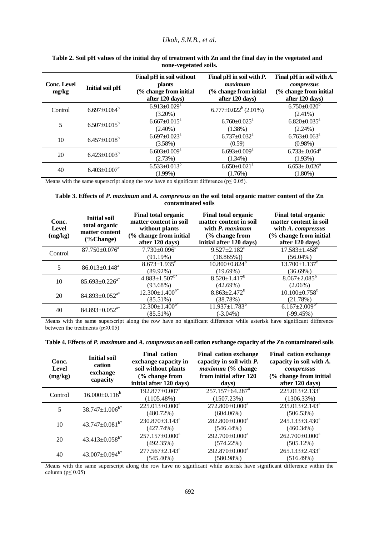#### *Ukoh, S.N.B., et al.*

| <b>Conc. Level</b><br>mg/kg | Initial soil pH     | Final pH in soil without<br><b>plants</b><br>(% change from initial<br>after 120 days) | Final pH in soil with $P$ .<br>maximum<br>(% change from initial<br>after 120 days) | Final pH in soil with $A$ .<br>compressus<br>(% change from initial<br>after 120 days) |
|-----------------------------|---------------------|----------------------------------------------------------------------------------------|-------------------------------------------------------------------------------------|----------------------------------------------------------------------------------------|
| Control                     | $6.697 \pm 0.064^b$ | $6.913 \pm 0.029$ <sup>a</sup><br>$(3.20\%)$                                           | $6.777 \pm 0.022^b$ (2.01%)                                                         | $6.750 \pm 0.020^{\circ}$<br>$(2.41\%)$                                                |
| 5                           | $6.507 \pm 0.015^b$ | $6.667 \pm 0.015^a$<br>$(2.40\%)$                                                      | $6.760 \pm 0.025$ <sup>a</sup><br>$(1.38\%)$                                        | $6.820 \pm 0.035^{\text{a}}$<br>$(2.24\%)$                                             |
| 10                          | $6.457 \pm 0.018^b$ | $6.697 \pm 0.023$ <sup>a</sup><br>$(3.58\%)$                                           | $6.737 \pm 0.032$ <sup>a</sup><br>(0.59)                                            | $6.763 \pm 0.063$ <sup>a</sup><br>$(0.98\%)$                                           |
| 20                          | $6.423 \pm 0.003^b$ | $6.603 \pm 0.009^a$<br>(2.73%)                                                         | $6.693 \pm 0.009^a$<br>$(1.34\%)$                                                   | $6.733 \pm 0.064$ <sup>a</sup><br>(1.93%)                                              |
| 40                          | $6.403 \pm 0.007$   | $6.533 \pm 0.013^b$<br>$(1.99\%)$                                                      | $6.650 \pm 0.021$ <sup>a</sup><br>$(1.76\%)$                                        | $6.653 \pm 0.026$ <sup>a</sup><br>$(1.80\%)$                                           |

#### **Table 2. Soil pH values of the initial day of treatment with Zn and the final day in the vegetated and none-vegetated soils.**

Means with the same superscript along the row have no significant difference ( $p \le 0.05$ ).

#### **Table 3. Effects of** *P. maximum* **and** *A. compressus* **on the soil total organic matter content of the Zn contaminated soils**

| Conc.<br><b>Level</b><br>(mg/kg) | <b>Initial soil</b><br>total organic<br>matter content<br>$(\%Change)$ | <b>Final total organic</b><br>matter content in soil<br>without plants<br>(% change from initial<br>after 120 days) | <b>Final total organic</b><br>matter content in soil<br>with P. maximum<br>(% change from<br>initial after 120 days) | <b>Final total organic</b><br>matter content in soil<br>with A. compressus<br>(% change from initial<br>after 120 days) |
|----------------------------------|------------------------------------------------------------------------|---------------------------------------------------------------------------------------------------------------------|----------------------------------------------------------------------------------------------------------------------|-------------------------------------------------------------------------------------------------------------------------|
| Control                          | $87.750 \pm 0.076^a$                                                   | $7.730 \pm 0.096$ <sup>c</sup><br>(91.19%)                                                                          | $9.527 \pm 2.182$ <sup>c</sup><br>$(18.865\%)$                                                                       | $17.583 \pm 1.458$ <sup>b</sup><br>$(56.04\%)$                                                                          |
| 5                                | $86.013 \pm 0.148$ <sup>a</sup>                                        | $8.673 \pm 1.935$ <sup>b</sup><br>$(89.92\%)$                                                                       | $10.800 \pm 0.824^b$<br>(19.69%)                                                                                     | $13.700 \pm 1.137^b$<br>(36.69%)                                                                                        |
| 10                               | $85.693 \pm 0.226^{a*}$                                                | $4.883 \pm 1.507^{b*}$<br>$(93.68\%)$                                                                               | $8.520 \pm 1.417$ <sup>b</sup><br>(42.69%)                                                                           | $8.067 \pm 2.085^{\circ}$<br>$(2.06\%)$                                                                                 |
| 20                               | $84.893 \pm 0.052^{a*}$                                                | $12.300 \pm 1.400^{b*}$<br>$(85.51\%)$                                                                              | $8.863 \pm 2.472^b$<br>(38.78%)                                                                                      | $10.100 \pm 0.758^{\rm b}$<br>(21.78%)                                                                                  |
| 40                               | $84.893 \pm 0.052^{a*}$                                                | $12.300 \pm 1.400^{b*}$<br>$(85.51\%)$                                                                              | $\overline{11.937} \pm 1.783^b$<br>$(-3.04\%)$                                                                       | $6.167 \pm 2.009^{b*}$<br>$(-99.45%)$                                                                                   |

Means with the same superscript along the row have no significant difference while asterisk have significant difference between the treatments ( $p \le 0.05$ )

| Table 4. Effects of P. maximum and A. compressus on soil cation exchange capacity of the Zn contaminated soils |  |  |  |
|----------------------------------------------------------------------------------------------------------------|--|--|--|
|                                                                                                                |  |  |  |

| Conc.<br>Level<br>(mg/kg) | <b>Initial soil</b><br>cation<br>exchange<br>capacity | <b>Final cation</b><br>exchange capacity in<br>soil without plants<br>(% change from<br>initial after 120 days) | <b>Final cation exchange</b><br>capacity in soil with P.<br><i>maximum</i> (% change<br>from initial after 120<br>days) | <b>Final cation exchange</b><br>capacity in soil with $A$ .<br>compressus<br>(% change from initial<br>after 120 days) |
|---------------------------|-------------------------------------------------------|-----------------------------------------------------------------------------------------------------------------|-------------------------------------------------------------------------------------------------------------------------|------------------------------------------------------------------------------------------------------------------------|
| Control                   | $16.000 \pm 0.116^b$                                  | $192.877 \pm 0.007$ <sup>a</sup><br>(1105.48%)                                                                  | $257.157 \pm 64.287$ <sup>a</sup><br>(1507.23%)                                                                         | $225.013 \pm 2.133$ <sup>a</sup><br>$(1306.33\%)$                                                                      |
| 5                         | $38.747 \pm 1.006^{b*}$                               | $225.013 \pm 0.000^a$<br>(480.72%)                                                                              | 272.800±0.000 <sup>a</sup><br>$(604.06\%)$                                                                              | $235.013 \pm 2.143^a$<br>(506.53%)                                                                                     |
| 10                        | $43.747 \pm 0.081$ <sup>b*</sup>                      | $230.870 \pm 3.143$ <sup>a</sup><br>(427.74%)                                                                   | $282.800\pm0.000^a$<br>$(546.44\%)$                                                                                     | 245.133±3.430 <sup>a</sup><br>$(460.34\%)$                                                                             |
| 20                        | $43.413 \pm 0.058$ <sup>b*</sup>                      | $257.157 \pm 0.000^a$<br>(492.35%)                                                                              | $292.700 \pm 0.000^a$<br>$(574.22\%)$                                                                                   | $262.700 \pm 0.000$ <sup>a</sup><br>(505.12%)                                                                          |
| 40                        | $43.007 \pm 0.094$ <sup>b*</sup>                      | $277.567 \pm 2.143^a$<br>$(545.40\%)$                                                                           | $292.870\pm0.000^a$<br>(580.98%)                                                                                        | $265.133 \pm 2.433$ <sup>a</sup><br>(516.49%)                                                                          |

Means with the same superscript along the row have no significant while asterisk have significant difference within the column ( $p \leq 0.05$ )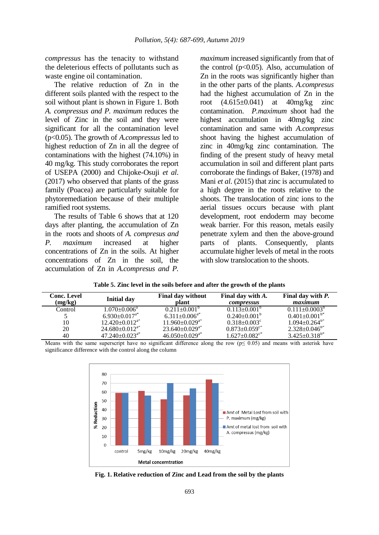*compressus* has the tenacity to withstand the deleterious effects of pollutants such as waste engine oil contamination.

The relative reduction of Zn in the different soils planted with the respect to the soil without plant is shown in Figure 1. Both *A. compressus and P. maximum* reduces the level of Zinc in the soil and they were significant for all the contamination level (p<0.05). The growth of *A.compressus* led to highest reduction of Zn in all the degree of contaminations with the highest (74.10%) in 40 mg/kg. This study corroborates the report of USEPA (2000) and Chijoke-Osuji *et al*. (2017) who observed that plants of the grass family (Poacea) are particularly suitable for phytoremediation because of their multiple ramified root systems.

The results of Table 6 shows that at 120 days after planting, the accumulation of Zn in the roots and shoots of *A. compresus and P. maximum* increased at higher concentrations of Zn in the soils. At higher concentrations of Zn in the soil, the accumulation of Zn in *A.compresus and P.* 

*maximum* increased significantly from that of the control ( $p<0.05$ ). Also, accumulation of Zn in the roots was significantly higher than in the other parts of the plants. *A.compresus*  had the highest accumulation of Zn in the root (4.615±0.041) at 40mg/kg zinc contamination. *P.maximum* shoot had the highest accumulation in 40mg/kg zinc contamination and same with *A.compresus* shoot having the highest accumulation of zinc in 40mg/kg zinc contamination. The finding of the present study of heavy metal accumulation in soil and different plant parts corroborate the findings of Baker, (1978) and Mani *et al*. (2015) that zinc is accumulated to a high degree in the roots relative to the shoots. The translocation of zinc ions to the aerial tissues occurs because with plant development, root endoderm may become weak barrier. For this reason, metals easily penetrate xylem and then the above-ground parts of plants. Consequently, plants accumulate higher levels of metal in the roots with slow translocation to the shoots.

| Table 5. Zinc level in the soils before and after the growth of the plants |  |  |  |
|----------------------------------------------------------------------------|--|--|--|
|----------------------------------------------------------------------------|--|--|--|

| <b>Conc. Level</b><br>(mg/kg) | <b>Initial day</b>               | <b>Final day without</b><br>plant | Final day with A.<br>compressus | Final day with P.<br>maximum |
|-------------------------------|----------------------------------|-----------------------------------|---------------------------------|------------------------------|
| Control                       | $1.070 \pm 0.006^a$              | $0.211 \pm 0.001^{\circ}$         | $0.113 \pm 0.001^{\circ}$       | $0.111 \pm 0.0003^b$         |
|                               | $6.930 \pm 0.017$ <sup>a*</sup>  | $6.311 \pm 0.006$ <sup>a*</sup>   | $0.240 \pm 0.001^{\circ}$       | $0.401 \pm 0.001^{b*}$       |
| 10                            | $12.420 \pm 0.012^{a*}$          | $11.960 \pm 0.029$ <sup>a*</sup>  | $0.318 \pm 0.003$ <sup>c</sup>  | $1.094 \pm 0.264^{b*}$       |
| 20                            | $24.680 \pm 0.012^{a*}$          | $23.640\pm0.029^{a*}$             | $0.873 \pm 0.059$ <sup>c*</sup> | $2.328 \pm 0.046^{\text{b}}$ |
| 40                            | $47.240 \pm 0.023$ <sup>a*</sup> | $46.050\pm0.029$ <sup>a*</sup>    | $1.627 \pm 0.082$ <sup>c*</sup> | $3.425 \pm 0.318^{b*}$       |

Means with the same superscript have no significant difference along the row ( $p \le 0.05$ ) and means with asterisk have significance difference with the control along the column



**Fig. 1. Relative reduction of Zinc and Lead from the soil by the plants**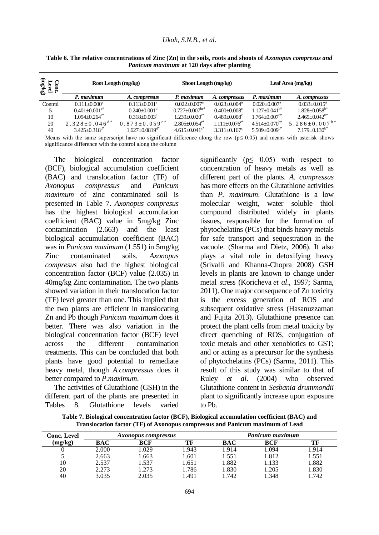#### *Ukoh, S.N.B., et al.*

| faun)<br>− ∼<br>$\frac{5}{2}$<br>O<br>č<br>É | Root Length (mg/kg)             |                                 | Shoot Length (mg/kg)           |                               | Leaf Area (mg/kg)            |                                 |  |
|----------------------------------------------|---------------------------------|---------------------------------|--------------------------------|-------------------------------|------------------------------|---------------------------------|--|
|                                              | P. maximum                      | A. compressus                   | P. maximum                     | A. compressus                 | P. maximum                   | A. compressus                   |  |
| Control                                      | $0.111 + 0.000^a$               | $0.113 + 0.001^a$               | $0.022 + 0.007a$               | $0.023 + 0.004^a$             | $0.020 + 0.007$ <sup>a</sup> | $0.033 + 0.015^a$               |  |
|                                              | $0.401 + 0.001$ <sup>c*</sup>   | $0.240 + 0.001$ <sup>d</sup>    | $0.727 \pm 0.007^{\text{bc*}}$ | $0.400 + 0.008$ <sup>c</sup>  | $1.127 + 0.041^{b*}$         | $1.828 + 0.058$ <sup>b*</sup>   |  |
| 10                                           | $1.094 + 0.264$ <sup>c*</sup>   | $0.318 + 0.003^c$               | $1.239 + 0.020$ <sup>c*</sup>  | $0.489 + 0.008^c$             | $1.764 \pm 0.007^{b*}$       | $2.465 + 0.042^{b*}$            |  |
| 20                                           | $2.328 \pm 0.046$ <sup>d*</sup> | $0.873 \pm 0.059$ <sup>c*</sup> | $2.805 + 0.054$ <sup>c*</sup>  | $1.111 + 0.076$ <sup>c*</sup> | $4.514 \pm 0.070^{b*}$       | 5.286 $\pm$ 0.007 <sup>b*</sup> |  |
| 40                                           | $3.425 + 0.318^{d*}$            | $1.627 + 0.0819^{d*}$           | $4.615 + 0.041$ <sup>c*</sup>  | $3.311 + 0.167$ <sup>c</sup>  | $5.509 + 0.009^{b*}$         | $7.179 + 0.130^{b*}$            |  |

**Table 6. The relative concentrations of Zinc (Zn) in the soils, roots and shoots of** *Axonopus compresus and Panicum maximum* **at 120 days after planting**

Means with the same superscript have no significant difference along the row ( $p \le 0.05$ ) and means with asterisk shows significance difference with the control along the column

The biological concentration factor (BCF), biological accumulation coefficient (BAC) and translocation factor (TF) of *Axonopus compressus* and *Panicum maximum* of zinc contaminated soil is presented in Table 7. *Axonopus compresus*  has the highest biological accumulation coefficient (BAC) value in 5mg/kg Zinc contamination (2.663) and the least biological accumulation coefficient (BAC) was in *Panicum maximum* (1.551) in 5mg/kg Zinc contaminated soils. *Axonopus compresus* also had the highest biological concentration factor (BCF) value (2.035) in 40mg/kg Zinc contamination. The two plants showed variation in their translocation factor (TF) level greater than one. This implied that the two plants are efficient in translocating Zn and Pb though *Panicum maximum* does it better. There was also variation in the biological concentration factor (BCF) level across the different contamination treatments. This can be concluded that both plants have good potential to remediate heavy metal, though *A.compressus* does it better compared to *P.maximum*.

The activities of Glutathione (GSH) in the different part of the plants are presented in Tables 8. Glutathione levels varied significantly ( $p \leq 0.05$ ) with respect to concentration of heavy metals as well as different part of the plants. *A. compressus*  has more effects on the Glutathione activities than *P. maximum*. Glutathione is a low molecular weight, water soluble thiol compound distributed widely in plants tissues, responsible for the formation of phytochelatins (PCs) that binds heavy metals for safe transport and sequestration in the vacuole. (Sharma and Dietz, 2006). It also plays a vital role in detoxifying heavy (Srivalli and Khanna-Chopra 2008) GSH levels in plants are known to change under metal stress (Koricheva *et al*., 1997; Sarma, 2011). One major consequence of Zn toxicity is the excess generation of ROS and subsequent oxidative stress (Hasanuzzaman and Fujita 2013). Glutathione presence can protect the plant cells from metal toxicity by direct quenching of ROS, conjugation of toxic metals and other xenobiotics to GST; and or acting as a precursor for the synthesis of phytochelatins (PCs) (Sarma, 2011). This result of this study was similar to that of Ruley *et al*. (2004) who observed Glutathione content in *Sesbania drummondii* plant to significantly increase upon exposure to Pb.

**Conc. Level (mg/kg)** *Axonopus compressus Panicum maximum* **BAC BCF TF BAC BCF TF** 0 2.000 1.029 1.943 1.914 1.094 1.914 5 2.663 1.663 1.601 1.551 1.812 1.551 10 2.537 1.537 1.651 1.882 1.133 1.882

**Table 7. Biological concentration factor (BCF), Biological accumulation coefficient (BAC) and Translocation factor (TF) of Axonopus compressus and Panicum maximum of Lead**

20 2.273 1.273 1.786 1.830 1.205 1.830 40 3.035 2.035 1.491 1.742 1.348 1.742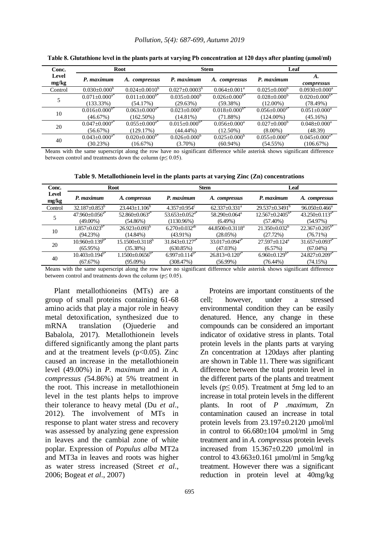#### *Pollution, 5(4): 687-699, Autumn 2019*

| Conc.          |                           | Root                            |                           | <b>Stem</b>                     | Leaf                      |                                 |
|----------------|---------------------------|---------------------------------|---------------------------|---------------------------------|---------------------------|---------------------------------|
| Level<br>mg/kg | P. maximum                | A. compressus                   | P. maximum                | A. compressus                   | P. maximum                | A.<br>compressus                |
| Control        | $0.030 \pm 0.000^{\circ}$ | $0.024 \pm 0.0010^b$            | $0.027 \pm 0.0003^b$      | $0.064 + 0.001a$                | $0.025 \pm 0.000^b$       | $0.0930 \pm 0.000$ <sup>a</sup> |
| 5              | $0.071 \pm 0.000^{a*}$    | $0.011 \pm 0.000$ <sup>b*</sup> | $0.035 \pm 0.000^{\rm b}$ | $0.026 \pm 0.000$ <sup>b*</sup> | $0.028 \pm 0.000^b$       | $0.020 \pm 0.000^{b*}$          |
|                | $(133.33\%)$              | (54.17%)                        | (29.63%)                  | (59.38%)                        | $(12.00\%)$               | (78.49%)                        |
| 10             | $0.016 \pm 0.000^{b*}$    | $0.063 \pm 0.000^{a*}$          | $0.023 \pm 0.000^{\circ}$ | $0.018 \pm 0.000^{b*}$          | $0.056 \pm 0.000^{a*}$    | $0.051 \pm 0.000^a$             |
|                | (46.67%)                  | $(162.50\%)$                    | $(14.81\%)$               | (71.88%)                        | $(124.00\%)$              | (45.16%)                        |
| 20             | $0.047 \pm 0.000^{a*}$    | $0.055 \pm 0.000^{a*}$          | $0.015 \pm 0.000^{b*}$    | $0.056 \pm 0.000^a$             | $0.027 \pm 0.000^{\circ}$ | $0.048 \pm 0.000^a$             |
|                | (56.67%)                  | (129.17%)                       | $(44.44\%)$               | $(12.50\%)$                     | $(8.00\%)$                | (48.39)                         |
| 40             | $0.043 \pm 0.000^{a*}$    | $0.020 \pm 0.000^{b*}$          | $0.026 \pm 0.000^{\circ}$ | $0.025 + 0.000^{\circ}$         | $0.055 \pm 0.000^{a*}$    | $0.045 \pm 0.000^{a*}$          |
|                | (30.23%)                  | (16.67%)                        | $(3.70\%)$                | $(60.94\%)$                     | (54.55%)                  | (106.67%)                       |

**Table 8. Glutathione level in the plants parts at varying Pb concentration at 120 days after planting (µmol/ml)**

Means with the same superscript along the row have no significant difference while asterisk shows significant difference between control and treatments down the column ( $p \le 0.05$ ).

**Table 9. Metallothionein level in the plants parts at varying Zinc (Zn) concentrations**

| Conc.          |                                  | <b>Root</b>                |                                  | <b>Stem</b>                    | Leaf                            |                                  |
|----------------|----------------------------------|----------------------------|----------------------------------|--------------------------------|---------------------------------|----------------------------------|
| Level<br>mg/kg | P. maximum                       | A. compressus              | P. maximum                       | A. compressus                  | P. maximum                      | A. compressus                    |
| Control        | $32.187 \pm 0.853^b$             | $23.443 \pm 1.106^{\circ}$ | $4.357+0.954^{\circ}$            | $62.337 \pm 0.331^a$           | $29.537 \pm 0.3491^b$           | $96.050 \pm 0.466^a$             |
|                | $47.960 \pm 0.056$ <sup>a*</sup> | $52.860 + 0.063^{a*}$      | $53.653 \pm 0.052$ <sup>a*</sup> | $58.290 + 0.064$ <sup>a</sup>  | $12.567 \pm 0.2405^{b*}$        | $43.250 \pm 0.113^{a*}$          |
|                | $(49.00\%)$                      | (54.86%)                   | $(1130.96\%)$                    | $(6.49\%)$                     | $(57.40\%)$                     | (54.97%)                         |
| 10             | $1.857 \pm 0.023^{b*}$           | $26.923 \pm 0.093^b$       | $6.270 \pm 0.032$ <sup>ab</sup>  | $44.8500 \pm 0.3118^a$         | $21.350\pm0.032^b$              | $22.367 \pm 0.205^{b*}$          |
|                | (94.23%)                         | $(14.84\%)$                | $(43.91\%)$                      | $(28.05\%)$                    | (27.72%)                        | (76.71%)                         |
| 20             | $10.960 \pm 0.139^{b*}$          | $15.1500 \pm 0.3118^b$     | $31.843 \pm 0.127$ <sup>a*</sup> | $33.017 + 0.094$ <sup>a*</sup> | $27.597 \pm 0.124$ <sup>a</sup> | $31.657 \pm 0.093$ <sup>a*</sup> |
|                | $(65.95\%)$                      | (35.38%)                   | (630.85%)                        | (47.03%)                       | (6.57%)                         | $(67.04\%)$                      |
| 40             | $10.403 \pm 0.194$ <sup>b*</sup> | $1.1500 \pm 0.0656^{b*}$   | $6.997 \pm 0.114^{b*}$           | $26.813 + 0.120^{a*}$          | $6.960 \pm 0.129^{b*}$          | $24.827 \pm 0.209$ <sup>a*</sup> |
|                | (67.67%)                         | $(95.09\%)$                | (308.47%)                        | $(56.99\%)$                    | $(76.44\%)$                     | (74.15%)                         |

Means with the same superscript along the row have no significant difference while asterisk shows significant difference between control and treatments down the column ( $p \le 0.05$ ).

Plant metallothioneins (MTs) are a group of small proteins containing 61-68 amino acids that play a major role in heavy metal detoxification, synthesized due to mRNA translation (Ojuederie and Babalola, 2017). Metallothionein levels differed significantly among the plant parts and at the treatment levels  $(p<0.05)$ . Zinc caused an increase in the metallothionein level (49.00%) in *P. maximum* and in *A. compressus (*54.86%) at 5% treatment in the root. This increase in metallothionein level in the test plants helps to improve their tolerance to heavy metal (Du *et al*., 2012). The involvement of MTs in response to plant water stress and recovery was assessed by analyzing gene expression in leaves and the cambial zone of white poplar. Expression of *Populus alba* MT2a and MT3a in leaves and roots was higher as water stress increased (Street *et al*., 2006; Bogeat *et al*., 2007)

Proteins are important constituents of the cell; however, under a stressed environmental condition they can be easily denatured. Hence, any change in these compounds can be considered an important indicator of oxidative stress in plants. Total protein levels in the plants parts at varying Zn concentration at 120days after planting are shown in Table 11. There was significant difference between the total protein level in the different parts of the plants and treatment levels ( $p \leq 0.05$ ). Treatment at 5mg led to an increase in total protein levels in the different plants. In root of *P .maximum*, Zn contamination caused an increase in total protein levels from  $23.197\pm0.2120$  umol/ml in control to  $66.680 \pm 104$  µmol/ml in 5mg treatment and in *A. compressus* protein levels increased from 15.367±0.220 µmol/ml in control to  $43.663 \pm 0.161$  µmol/ml in 5mg/kg treatment. However there was a significant reduction in protein level at 40mg/kg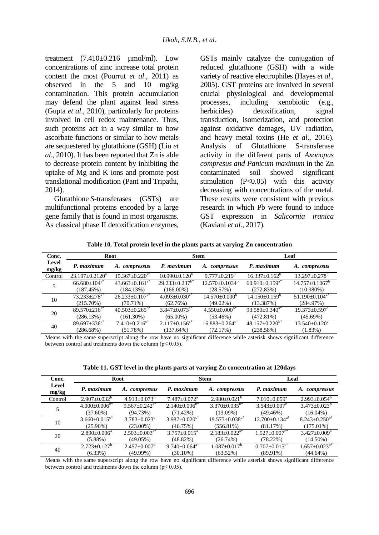treatment  $(7.410\pm0.216 \mu \text{mol/ml})$ . Low concentrations of zinc increase total protein content the most (Pourrut *et al*., 2011) as observed in the 5 and 10 mg/kg contamination. This protein accumulation may defend the plant against lead stress (Gupta *et al*., 2010), particularly for proteins involved in cell redox maintenance. Thus, such proteins act in a way similar to how ascorbate functions or similar to how metals are sequestered by glutathione (GSH) (Liu *et al*., 2010). It has been reported that Zn is able to decrease protein content by inhibiting the uptake of Mg and K ions and promote post translational modification (Pant and Tripathi, 2014).

Glutathione *S*-transferases (GSTs) are multifunctional proteins encoded by a large gene family that is found in most organisms. As classical phase II detoxification enzymes, GSTs mainly catalyze the conjugation of reduced glutathione (GSH) with a wide variety of reactive electrophiles (Hayes *et al*., 2005). GST proteins are involved in several crucial physiological and developmental processes, including xenobiotic (e.g., herbicides) detoxification, signal transduction, isomerization, and protection against oxidative damages, UV radiation, and heavy metal toxins (He *et al*., 2016). Analysis of Glutathione S-transferase activity in the different parts of *Axonopus compresus and Panicum maximum* in the Zn contaminated soil showed significant stimulation  $(P<0.05)$  with this activity decreasing with concentrations of the metal. These results were consistent with previous research in which Pb were found to induce GST expression in *Salicornia iranica* (Kaviani *et al*., 2017).

**Table 10. Total protein level in the plants parts at varying Zn concentration** 

| Conc.          |                                | Root                            |                                  | <b>Stem</b>                      | Leaf                             |                                  |
|----------------|--------------------------------|---------------------------------|----------------------------------|----------------------------------|----------------------------------|----------------------------------|
| Level<br>mg/kg | P. maximum                     | A. compressus                   | P. maximum                       | A. compressus                    | P. maximum                       | A. compressus                    |
| Control        | $23.197 + 0.2120^a$            | $15.367 \pm 0.220^{ab}$         | $10.990 + 0.120^b$               | $9.777+0.219^b$                  | $16.337+0.162^b$                 | $13.297 \pm 0.278$ <sup>b</sup>  |
|                | $66.680 \pm 104$ <sup>a*</sup> | $43.663 \pm 0.161^{a*}$         | $29.233 \pm 0.237$ <sup>b*</sup> | $12.570+0.1034^b$                | $60.910+0.159^{a*}$              | $14.757+0.1067^b$                |
|                | (187.45%)                      | (184.13%)                       | $(166.00\%)$                     | (28.57%)                         | (272.83%)                        | $(10.980\%)$                     |
| 10             | $73.233 \pm 278$ <sup>a*</sup> | $26.233 \pm 0.107^{b*}$         | $4.093 \pm 0.030$ <sup>c*</sup>  | $14.570 \pm 0.000^{\circ}$       | $14.150\pm0.159^{\circ}$         | $51.190 \pm 0.104$ <sup>a*</sup> |
|                | $(215.70\%)$                   | $(70.71\%)$                     | (62.76%)                         | $(49.02\%)$                      | (13.387%)                        | (284.97%)                        |
| 20             | $89.570 + 216^{a*}$            | $40.503 \pm 0.265^{b*}$         | $3.847 \pm 0.073$ <sup>c*</sup>  | $4.550\pm0.000^{b*}$             | $93.580 \pm 0.340$ <sup>a*</sup> | $19.373 \pm 0.597$ <sup>c</sup>  |
|                | (286.13%)                      | $(161.30\%)$                    | $(65.00\%)$                      | (53.46%)                         | $(472.81\%)$                     | $(45.69\%)$                      |
| 40             | $89.697 \pm 336^{a*}$          | $7.410 \pm 0.216$ <sup>c*</sup> | $2.117+0.156^{\circ*}$           | $16.883 \pm 0.264$ <sup>c*</sup> | $48.157 \pm 0.220^{b*}$          | $13.540 \pm 0.120$ <sup>c</sup>  |
|                | (286.68%)                      | (51.78%)                        | (137.64%)                        | (72.17%)                         | (238.58%)                        | $(1.83\%)$                       |

Means with the same superscript along the row have no significant difference while asterisk shows significant difference between control and treatments down the column ( $p \le 0.05$ ).

**Table 11. GST level in the plants parts at varying Zn concentration at 120days**

| Conc.          |                                 | Root                   |                                 | <b>Stem</b>                      |                                  | Leaf                   |  |
|----------------|---------------------------------|------------------------|---------------------------------|----------------------------------|----------------------------------|------------------------|--|
| Level<br>mg/kg | P. maximum                      | A. compressus          | P. maximum                      | A. compressus                    | P. maximum                       | A. compressus          |  |
| Control        | $2.907 \pm 0.032^b$             | $4.913 \pm 0.073^b$    | $7.487 \pm 0.072$ <sup>a</sup>  | $2.980 \pm 0.021^b$              | $7.010 \pm 0.059$ <sup>a</sup>   | $2.993 \pm 0.054^b$    |  |
|                | $4.000 \pm 0.006$ <sup>b*</sup> | $9.567 \pm 0.242^{a*}$ | $2.140\pm0.006^{b*}$            | $3.370 \pm 0.035^{b*}$           | $3.543 \pm 0.007^b$              | $3.473 \pm 0.023^b$    |  |
|                | $(37.60\%)$                     | (94.73%)               | $(71.42\%)$                     | $(13.09\%)$                      | (49.46%)                         | $(16.04\%)$            |  |
| 10             | $3.660 \pm 0.015$ <sup>c*</sup> | $3.783 \pm 0.023$ °    | $3.987 \pm 0.020$ <sup>c*</sup> | $19.573 \pm 0.038$ <sup>a*</sup> | $12.700 \pm 0.134$ <sup>a*</sup> | $8.243 \pm 0.250^{6*}$ |  |
|                | $(25.90\%)$                     | $(23.00\%)$            | (46.75%)                        | $(556.81\%)$                     | (81.17%)                         | $(175.01\%)$           |  |
| 20             | $2.890 \pm 0.006^{\circ}$       | $2.503 \pm 0.003^{a*}$ | $3.757 \pm 0.015^a$             | $2.183 \pm 0.022^{a*}$           | $1.527 \pm 0.007^{b*}$           | $3.427 \pm 0.009^a$    |  |
|                | $(5.88\%)$                      | $(49.05\%)$            | $(48.82\%)$                     | (26.74%)                         | $(78.22\%)$                      | $(14.50\%)$            |  |
| 40             | $2.723 \pm 0.127^b$             | $2.457 \pm 0.007^b$    | $9.740 \pm 0.064$ <sup>a*</sup> | $1.087 \pm 0.017^b$              | $0.707 \pm 0.015$ <sup>c*</sup>  | $1.657 \pm 0.023^{b*}$ |  |
|                | $(6.33\%)$                      | $(49.99\%)$            | $(30.10\%)$                     | $(63.52\%)$                      | $(89.91\%)$                      | $(44.64\%)$            |  |

Means with the same superscript along the row have no significant difference while asterisk shows significant difference between control and treatments down the column ( $p \le 0.05$ ).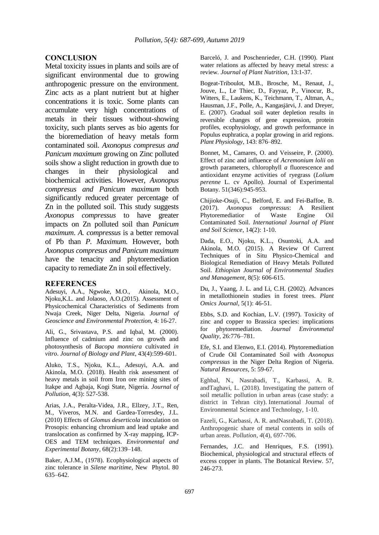### **CONCLUSION**

Metal toxicity issues in plants and soils are of significant environmental due to growing anthropogenic pressure on the environment. Zinc acts as a plant nutrient but at higher concentrations it is toxic. Some plants can accumulate very high concentrations of metals in their tissues without-showing toxicity, such plants serves as bio agents for the bioremediation of heavy metals form contaminated soil. *Axonopus compresus and Panicum maximum* growing on Zinc polluted soils show a slight reduction in growth due to changes in their physiological and biochemical activities. However, *Axonopus compresus and Panicum maximum* both significantly reduced greater percentage of Zn in the polluted soil. This study suggests *Axonopus compressus* to have greater impacts on Zn polluted soil than *Panicum maximum*. *A. compressus* is a better removal of Pb than *P. Maximum.* However, both *Axonopus compresus and Panicum maximum* have the tenacity and phytoremediation capacity to remediate Zn in soil effectively.

#### **REFERENCES**

Adesuyi, A.A., Ngwoke, M.O., Akinola, M.O., Njoku,K.L. and Jolaoso, A.O.(2015). Assessment of Physicochemical Characteristics of Sediments from Nwaja Creek, Niger Delta, Nigeria. *Journal of Geoscience and Environmental Protection,* 4: 16-27.

Ali, G., Srivastava, P.S. and Iqbal, M. (2000). Influence of cadmium and zinc on growth and photosynthesis of *Bacopa monniera* cultivated *in vitro*. *Journal of Biology and Plant*, 43(4):599-601.

Aluko, T.S., Njoku, K.L., Adesuyi, A.A. and Akinola, M.O. (2018). Health risk assessment of heavy metals in soil from Iron ore mining sites of Itakpe and Agbaja, Kogi State, Nigeria. *Journal of Pollution,* 4(3): 527-538.

Arias, J.A., Peralta-Videa, J.R., Ellzey, J.T., Ren, M., Viveros, M.N. and Gardea-Torresdey, J.L. (2010) Effects of *Glomus deserticola* inoculation on Prosopis: enhancing chromium and lead uptake and translocation as confirmed by X-ray mapping, ICP-OES and TEM techniques. *Environmental and Experimental Botany*, 68(2):139–148.

Baker, A.J.M., (1978). Ecophysiological aspects of zinc tolerance in *Silene maritime,* New Phytol. 80 635–642.

Barceló, J. and Poschenrieder, C.H. (1990). Plant water relations as affected by heavy metal stress: a review. *Journal of Plant Nutrition*, 13:1-37.

Bogeat-Triboulot, M.B., Brosche, M., Renaut, J., Jouve, L., Le Thiec, D., Fayyaz, P., Vinocur, B., Witters, E., Laukens, K., Teichmann, T., Altman, A., Hausman, J.F., Polle, A., Kangasjärvi, J. and Dreyer, E. (2007). Gradual soil water depletion results in reversible changes of gene expression, protein profiles, ecophysiology, and growth performance in Populus euphratica, a poplar growing in arid regions. *Plant Physiology*, 143: 876–892.

Bonnet, M., Camares, O. and Veisseire, P. (2000). Effect of zinc and influence of *Acremonium lolii* on growth parameters, chlorophyll *a* fluorescence and antioxidant enzyme activities of ryegrass (*Lolium perenne* L. cv Apollo). Journal of Experimental Botany. 51(346):945-953.

Chijioke-Osuji, C., Belford, E. and Fei-Baffoe, B. (2017). *Axonopus compressus*: A Resilient Phytoremediatior of Waste Engine Oil Contaminated Soil. *International Journal of Plant and Soil Science*, 14(2): 1-10.

Dada, E.O., Njoku, K.L., Osuntoki, A.A. and Akinola, M.O. (2015). A Review Of Current Techniques of in Situ Physico-Chemical and Biological Remediation of Heavy Metals Polluted Soil. *Ethiopian Journal of Environmental Studies and Management*, 8(5): 606-615.

Du, J., Yaang, J. L. and Li, C.H. (2002). Advances in metallothionein studies in forest trees. *Plant Omics Journal*, 5(1): 46-51.

Ebbs, S.D. and Kochian, L.V. (1997). Toxicity of zinc and copper to Brassica species: implications for phytoremediation. *Journal Environmetal Quality,* 26:776–781.

Efe, S.I. and Elenwo, E.I. (2014). Phytoremediation of Crude Oil Contaminated Soil with *Axonopus compressus* in the Niger Delta Region of Nigeria. *Natural Resources*, 5: 59-67.

Eghbal, N., Nasrabadi, T., Karbassi, A. R. andTaghavi, L. (2018). Investigating the pattern of soil metallic pollution in urban areas (case study: a district in Tehran city). International Journal of Environmental Science and Technology, 1-10.

Fazeli, G., Karbassi, A. R. andNasrabadi, T. (2018). Anthropogenic share of metal contents in soils of urban areas. *Pollution*, *4*(4), 697-706.

Fernandes, J.C. and Henriques, F.S. (1991). Biochemical, physiological and structural effects of excess copper in plants. The Botanical Review. 57, 246-273.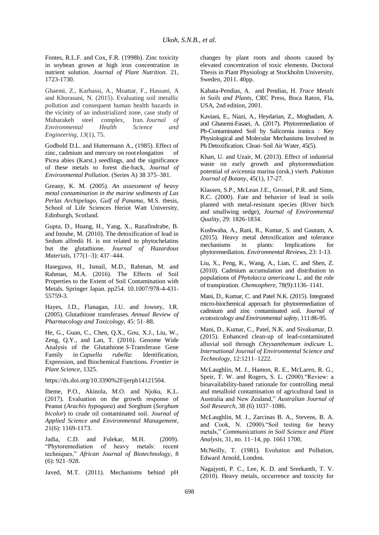Fontes, R.L.F. and Cox, F.R. (1998b). Zinc toxicity in soybean grown at high iron concentration in nutrient solution. *Journal of Plant Nutrition*. 21, 1723-1730.

Ghaemi, Z., Karbassi, A., Moattar, F., Hassani, A and Khorasani, N. (2015). Evaluating soil metallic pollution and consequent human health hazards in the vicinity of an industrialized zone, case study of Mubarakeh steel complex, Iran. Journal of Mubarakeh steel complex,<br>*Environmental Health Environmental Health Science and Engineering*, *13*(1), 75.

Godbold D.L. and Huttermann A., (1985). Effect of zinc, cadmium and mercury on root elongation Picea abies (Karst.) seedlings, and the significance of these metals to forest die-back, *Journal of Environmental Pollution.* (Series A) 38 375–381.

Greany, K. M*.* (2005). *An assessment of heavy metal contamination in the marine sediments of Las Perlas Archipelago, Gulf of Panama*, M.S. thesis, School of Life Sciences Heriot Watt University, Edinburgh, Scotland.

Gupta, D., Huang, H., Yang, X., Razafindrabe, B. and Inouhe, M. (2010). The detoxification of lead in Sedum alfredii H. is not related to phytochelatins but the glutathione. *Journal of Hazardous Materials,* 177(1–3): 437–444.

Hasegawa, H., Ismail, M.D., Rahman, M. and Rahman, M.A. (2016). The Effects of Soil Properties to the Extent of Soil Contamination with Metals. Springer Japan. pp254. 10.1007/978-4-431- 55759-3.

Hayes, J.D., Flanagan, J.U. and Jowsey, I.R. (2005). Glutathione transferases. *Annual Review of Pharmacology and Toxicology,* 45: 51–88.

He, G., Guan, C., Chen, Q.X., Gou, X.J., Liu, W., Zeng, Q.Y., and Lan, T. (2016). Genome Wide Analysis of the Glutathione *S*-Transferase Gene Family in *Capsella rubella*: Identification, Expression, and Biochemical Functions. *Frontier in Plant Science*, 1325.

https://dx.doi.org/10.3390%2Fijerph14121504.

Iheme, P.O., Akinola, M.O. and Njoku, K.L. (2017). Evaluation on the growth response of Peanut (*Arachis hypogaea*) and Sorghum (*Sorghum bicolor*) to crude oil contaminated soil. *Journal of Applied Science and Environmental Management*, 21(6): 1169-1173.

Jadia, C.D. and Fulekar, M.H. (2009). "Phytoremediation of heavy metals: recent techniques," *African Journal of Biotechnology*, 8 (6): 921–928.

Javed, M.T. (2011). Mechanisms behind pH

changes by plant roots and shoots caused by elevated concentration of toxic elements. Doctoral Thesis in Plant Physiology at Stockholm University, Sweden, 2011. 40pp.

Kabata-Pendias, A. and Pendias, H. *Trace Metals in Soils and Plants*, CRC Press, Boca Raton, Fla, USA, 2nd edition, 2001.

Kaviani, E., Niazi, A., Heydarian, Z., Moghadam, A. and Ghasemi-Fasaei, A. (2017). Phytoremediation of Pb-Contaminated Soil by Salicornia iranica : Key Physiological and Molecular Mechanisms Involved in Pb Detoxification. Clean–Soil Air Water, 45(5).

Khan, U. and Uzair, M. (2013). Effect of industrial waste on early growth and phytoremediation potential of avicennia marina (orsk.) vierh. *Pakistan Journal of Botany*, 45(1), 17-27.

Klassen, S.P., McLean J.E., Grossel, P.R. and Sims, R.C. (2000). Fate and behavior of lead in soils planted with metal-resistant species (River birch and smallwing sedge), *Journal of Environmental Quality*, 29: 1826-1834.

Kushwaha, A., Rani, R., Kumar, S. and Gautam, A. (2015). Heavy metal detoxification and tolerance mechanisms in plants: Implications for phytoremediation. *Environmental Reviews*, 23: 1-13.

Liu, X., Peng, K., Wang, A., Lian, C. and Shen, Z. (2010). Cadmium accumulation and distribution in populations of *Phytolacca americana* L. and the role of transpiration. *Chemosphere*, 78(9):1136–1141.

Mani, D., Kumar, C. and Patel N.K. (2015). Integrated micro-biochemical approach for phytoremediation of cadmium and zinc contaminated soil. *Journal of ecotoxicology and Environmental safety*, 111:86-95.

Mani, D., Kumar, C., Patel, N.K. and Sivakumar, D. (2015). Enhanced clean-up of lead-contaminated alluvial soil through *Chrysanthemum indicum* L. *International Journal of Environmental Science and Technology*, 12:1211–1222.

McLaughlin, M. J., Hamon, R. E., McLaren, R. G., Speir, T. W. and Rogers, S. L. (2000)."Review: a bioavailability-based rationale for controlling metal and metalloid contamination of agricultural land in Australia and New Zealand," *Australian Journal of Soil Research*, 38 (6) 1037–1086.

McLaughlin, M. J., Zarcinas B. A., Stevens, B. A. and Cook, N. (2000)."Soil testing for heavy metals," *Communications in Soil Science and Plant Analysis*, 31, no. 11–14, pp. 1661 1700,

McNeilly, T. (1981). Evolution and Pollution, Edward Arnold, London.

Nagajyoti, P. C., Lee, K. D. and Sreekanth, T. V. (2010). Heavy metals, occurrence and toxicity for